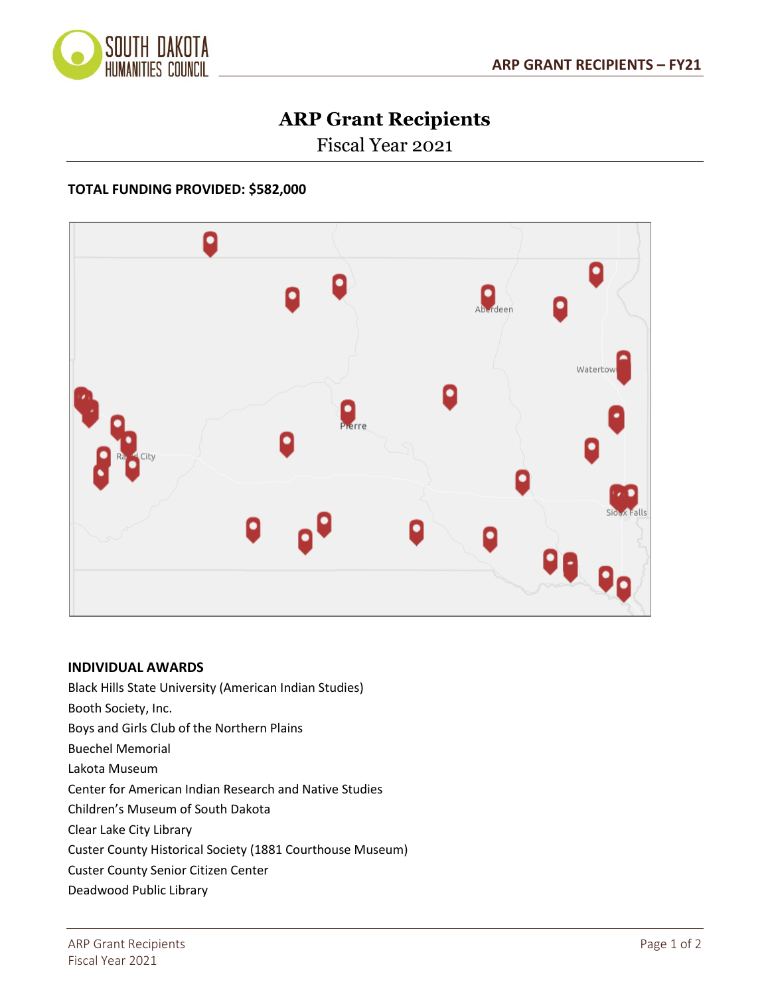

## **ARP Grant Recipients**

Fiscal Year 2021

## **TOTAL FUNDING PROVIDED: \$582,000**



## **INDIVIDUAL AWARDS**

Black Hills State University (American Indian Studies) Booth Society, Inc. Boys and Girls Club of the Northern Plains Buechel Memorial Lakota Museum Center for American Indian Research and Native Studies Children's Museum of South Dakota Clear Lake City Library Custer County Historical Society (1881 Courthouse Museum) Custer County Senior Citizen Center Deadwood Public Library